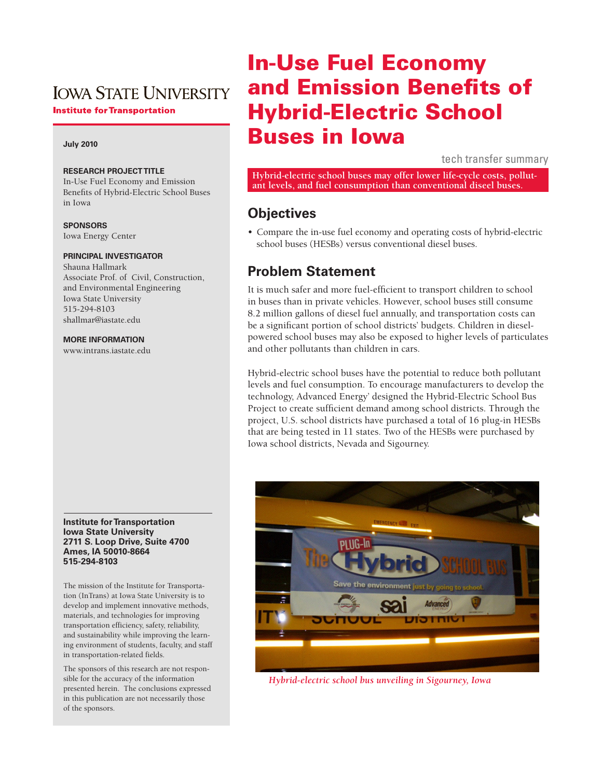# **IOWA STATE UNIVERSITY**

**Institute for Transportation** 

### **July 2010**

### **Research Project Title**

In-Use Fuel Economy and Emission Benefits of Hybrid-Electric School Buses in Iowa

#### **Sponsors**

Iowa Energy Center

### **Principal Investigator**

Shauna Hallmark Associate Prof. of Civil, Construction, and Environmental Engineering Iowa State University 515-294-8103 shallmar@iastate.edu

### **More Information**

www.intrans.iastate.edu

#### **Institute for Transportation Iowa State University 2711 S. Loop Drive, Suite 4700 Ames, IA 50010-8664 515-294-8103**

The mission of the Institute for Transportation (InTrans) at Iowa State University is to develop and implement innovative methods, materials, and technologies for improving transportation efficiency, safety, reliability, and sustainability while improving the learning environment of students, faculty, and staff in transportation-related fields.

The sponsors of this research are not responsible for the accuracy of the information presented herein. The conclusions expressed in this publication are not necessarily those of the sponsors.

# In-Use Fuel Economy and Emission Benefits of Hybrid-Electric School Buses in Iowa

tech transfer summary

**Hybrid-electric school buses may offer lower life-cycle costs, pollut- ant levels, and fuel consumption than conventional diseel buses.** 

### **Objectives**

• Compare the in-use fuel economy and operating costs of hybrid-electric school buses (HESBs) versus conventional diesel buses.

### **Problem Statement**

It is much safer and more fuel-efficient to transport children to school in buses than in private vehicles. However, school buses still consume 8.2 million gallons of diesel fuel annually, and transportation costs can be a significant portion of school districts' budgets. Children in dieselpowered school buses may also be exposed to higher levels of particulates and other pollutants than children in cars.

Hybrid-electric school buses have the potential to reduce both pollutant levels and fuel consumption. To encourage manufacturers to develop the technology, Advanced Energy' designed the Hybrid-Electric School Bus Project to create sufficient demand among school districts. Through the project, U.S. school districts have purchased a total of 16 plug-in HESBs that are being tested in 11 states. Two of the HESBs were purchased by Iowa school districts, Nevada and Sigourney.



*Hybrid-electric school bus unveiling in Sigourney, Iowa*